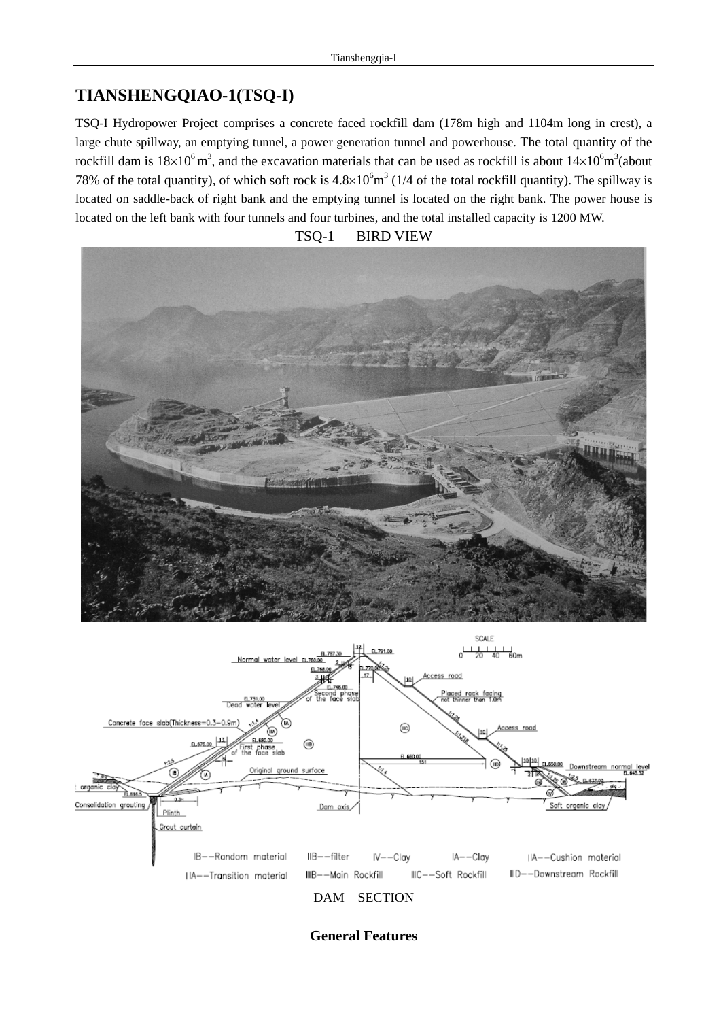## **TIANSHENGQIAO-1(TSQ-I)**

TSQ-I Hydropower Project comprises a concrete faced rockfill dam (178m high and 1104m long in crest), a large chute spillway, an emptying tunnel, a power generation tunnel and powerhouse. The total quantity of the rockfill dam is  $18\times10^6$  m<sup>3</sup>, and the excavation materials that can be used as rockfill is about  $14\times10^6$ m<sup>3</sup>(about 78% of the total quantity), of which soft rock is  $4.8 \times 10^6$  m<sup>3</sup> (1/4 of the total rockfill quantity). The spillway is located on saddle-back of right bank and the emptying tunnel is located on the right bank. The power house is located on the left bank with four tunnels and four turbines, and the total installed capacity is 1200 MW.







**General Features**